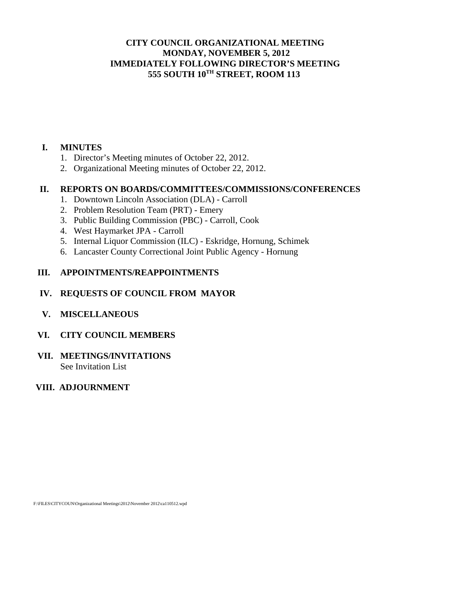## **CITY COUNCIL ORGANIZATIONAL MEETING MONDAY, NOVEMBER 5, 2012 IMMEDIATELY FOLLOWING DIRECTOR'S MEETING 555 SOUTH 10TH STREET, ROOM 113**

## **I. MINUTES**

- 1. Director's Meeting minutes of October 22, 2012.
- 2. Organizational Meeting minutes of October 22, 2012.

#### **II. REPORTS ON BOARDS/COMMITTEES/COMMISSIONS/CONFERENCES**

- 1. Downtown Lincoln Association (DLA) Carroll
- 2. Problem Resolution Team (PRT) Emery
- 3. Public Building Commission (PBC) Carroll, Cook
- 4. West Haymarket JPA Carroll
- 5. Internal Liquor Commission (ILC) Eskridge, Hornung, Schimek
- 6. Lancaster County Correctional Joint Public Agency Hornung

### **III. APPOINTMENTS/REAPPOINTMENTS**

## **IV. REQUESTS OF COUNCIL FROM MAYOR**

 **V. MISCELLANEOUS** 

#### **VI. CITY COUNCIL MEMBERS**

**VII. MEETINGS/INVITATIONS**  See Invitation List

## **VIII. ADJOURNMENT**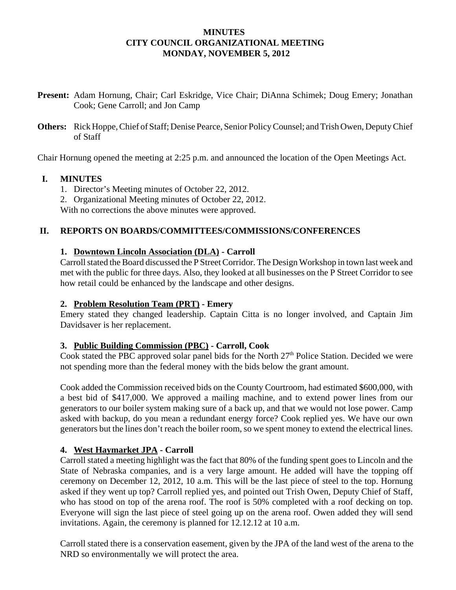### **MINUTES CITY COUNCIL ORGANIZATIONAL MEETING MONDAY, NOVEMBER 5, 2012**

- **Present:** Adam Hornung, Chair; Carl Eskridge, Vice Chair; DiAnna Schimek; Doug Emery; Jonathan Cook; Gene Carroll; and Jon Camp
- **Others:** Rick Hoppe, Chief of Staff; Denise Pearce, Senior Policy Counsel; and Trish Owen, Deputy Chief of Staff

Chair Hornung opened the meeting at 2:25 p.m. and announced the location of the Open Meetings Act.

### **I. MINUTES**

- 1. Director's Meeting minutes of October 22, 2012.
- 2. Organizational Meeting minutes of October 22, 2012.

With no corrections the above minutes were approved.

### **II. REPORTS ON BOARDS/COMMITTEES/COMMISSIONS/CONFERENCES**

### **1. Downtown Lincoln Association (DLA) - Carroll**

Carroll stated the Board discussed the P Street Corridor. The Design Workshop in town last week and met with the public for three days. Also, they looked at all businesses on the P Street Corridor to see how retail could be enhanced by the landscape and other designs.

#### **2. Problem Resolution Team (PRT) - Emery**

Emery stated they changed leadership. Captain Citta is no longer involved, and Captain Jim Davidsaver is her replacement.

#### **3. Public Building Commission (PBC) - Carroll, Cook**

Cook stated the PBC approved solar panel bids for the North  $27<sup>th</sup>$  Police Station. Decided we were not spending more than the federal money with the bids below the grant amount.

Cook added the Commission received bids on the County Courtroom, had estimated \$600,000, with a best bid of \$417,000. We approved a mailing machine, and to extend power lines from our generators to our boiler system making sure of a back up, and that we would not lose power. Camp asked with backup, do you mean a redundant energy force? Cook replied yes. We have our own generators but the lines don't reach the boiler room, so we spent money to extend the electrical lines.

## **4. West Haymarket JPA - Carroll**

Carroll stated a meeting highlight was the fact that 80% of the funding spent goes to Lincoln and the State of Nebraska companies, and is a very large amount. He added will have the topping off ceremony on December 12, 2012, 10 a.m. This will be the last piece of steel to the top. Hornung asked if they went up top? Carroll replied yes, and pointed out Trish Owen, Deputy Chief of Staff, who has stood on top of the arena roof. The roof is 50% completed with a roof decking on top. Everyone will sign the last piece of steel going up on the arena roof. Owen added they will send invitations. Again, the ceremony is planned for 12.12.12 at 10 a.m.

 Carroll stated there is a conservation easement, given by the JPA of the land west of the arena to the NRD so environmentally we will protect the area.